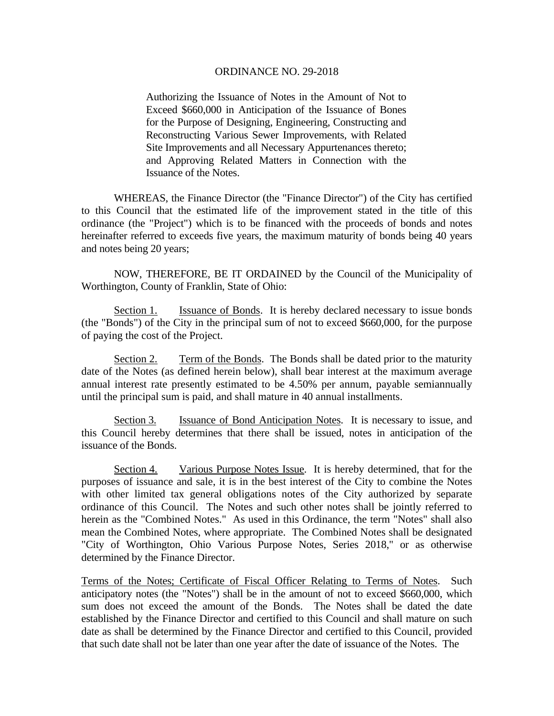Authorizing the Issuance of Notes in the Amount of Not to Exceed \$660,000 in Anticipation of the Issuance of Bones for the Purpose of Designing, Engineering, Constructing and Reconstructing Various Sewer Improvements, with Related Site Improvements and all Necessary Appurtenances thereto; and Approving Related Matters in Connection with the Issuance of the Notes.

 WHEREAS, the Finance Director (the "Finance Director") of the City has certified to this Council that the estimated life of the improvement stated in the title of this ordinance (the "Project") which is to be financed with the proceeds of bonds and notes hereinafter referred to exceeds five years, the maximum maturity of bonds being 40 years and notes being 20 years;

 NOW, THEREFORE, BE IT ORDAINED by the Council of the Municipality of Worthington, County of Franklin, State of Ohio:

Section 1. Issuance of Bonds. It is hereby declared necessary to issue bonds (the "Bonds") of the City in the principal sum of not to exceed \$660,000, for the purpose of paying the cost of the Project.

Section 2. Term of the Bonds. The Bonds shall be dated prior to the maturity date of the Notes (as defined herein below), shall bear interest at the maximum average annual interest rate presently estimated to be 4.50% per annum, payable semiannually until the principal sum is paid, and shall mature in 40 annual installments.

Section 3. Issuance of Bond Anticipation Notes. It is necessary to issue, and this Council hereby determines that there shall be issued, notes in anticipation of the issuance of the Bonds.

Section 4. Various Purpose Notes Issue. It is hereby determined, that for the purposes of issuance and sale, it is in the best interest of the City to combine the Notes with other limited tax general obligations notes of the City authorized by separate ordinance of this Council. The Notes and such other notes shall be jointly referred to herein as the "Combined Notes." As used in this Ordinance, the term "Notes" shall also mean the Combined Notes, where appropriate. The Combined Notes shall be designated "City of Worthington, Ohio Various Purpose Notes, Series 2018," or as otherwise determined by the Finance Director.

Terms of the Notes; Certificate of Fiscal Officer Relating to Terms of Notes. Such anticipatory notes (the "Notes") shall be in the amount of not to exceed \$660,000, which sum does not exceed the amount of the Bonds. The Notes shall be dated the date established by the Finance Director and certified to this Council and shall mature on such date as shall be determined by the Finance Director and certified to this Council, provided that such date shall not be later than one year after the date of issuance of the Notes. The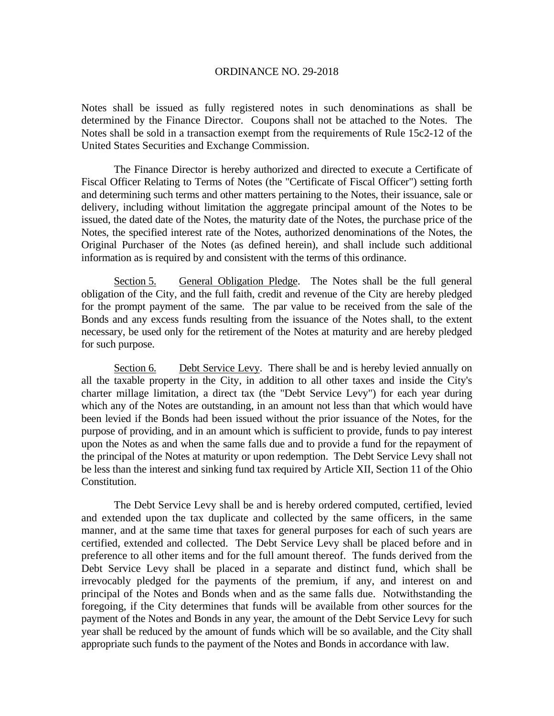Notes shall be issued as fully registered notes in such denominations as shall be determined by the Finance Director. Coupons shall not be attached to the Notes. The Notes shall be sold in a transaction exempt from the requirements of Rule 15c2-12 of the United States Securities and Exchange Commission.

 The Finance Director is hereby authorized and directed to execute a Certificate of Fiscal Officer Relating to Terms of Notes (the "Certificate of Fiscal Officer") setting forth and determining such terms and other matters pertaining to the Notes, their issuance, sale or delivery, including without limitation the aggregate principal amount of the Notes to be issued, the dated date of the Notes, the maturity date of the Notes, the purchase price of the Notes, the specified interest rate of the Notes, authorized denominations of the Notes, the Original Purchaser of the Notes (as defined herein), and shall include such additional information as is required by and consistent with the terms of this ordinance.

Section 5. General Obligation Pledge. The Notes shall be the full general obligation of the City, and the full faith, credit and revenue of the City are hereby pledged for the prompt payment of the same. The par value to be received from the sale of the Bonds and any excess funds resulting from the issuance of the Notes shall, to the extent necessary, be used only for the retirement of the Notes at maturity and are hereby pledged for such purpose.

Section 6. Debt Service Levy. There shall be and is hereby levied annually on all the taxable property in the City, in addition to all other taxes and inside the City's charter millage limitation, a direct tax (the "Debt Service Levy") for each year during which any of the Notes are outstanding, in an amount not less than that which would have been levied if the Bonds had been issued without the prior issuance of the Notes, for the purpose of providing, and in an amount which is sufficient to provide, funds to pay interest upon the Notes as and when the same falls due and to provide a fund for the repayment of the principal of the Notes at maturity or upon redemption. The Debt Service Levy shall not be less than the interest and sinking fund tax required by Article XII, Section 11 of the Ohio Constitution.

The Debt Service Levy shall be and is hereby ordered computed, certified, levied and extended upon the tax duplicate and collected by the same officers, in the same manner, and at the same time that taxes for general purposes for each of such years are certified, extended and collected. The Debt Service Levy shall be placed before and in preference to all other items and for the full amount thereof. The funds derived from the Debt Service Levy shall be placed in a separate and distinct fund, which shall be irrevocably pledged for the payments of the premium, if any, and interest on and principal of the Notes and Bonds when and as the same falls due. Notwithstanding the foregoing, if the City determines that funds will be available from other sources for the payment of the Notes and Bonds in any year, the amount of the Debt Service Levy for such year shall be reduced by the amount of funds which will be so available, and the City shall appropriate such funds to the payment of the Notes and Bonds in accordance with law.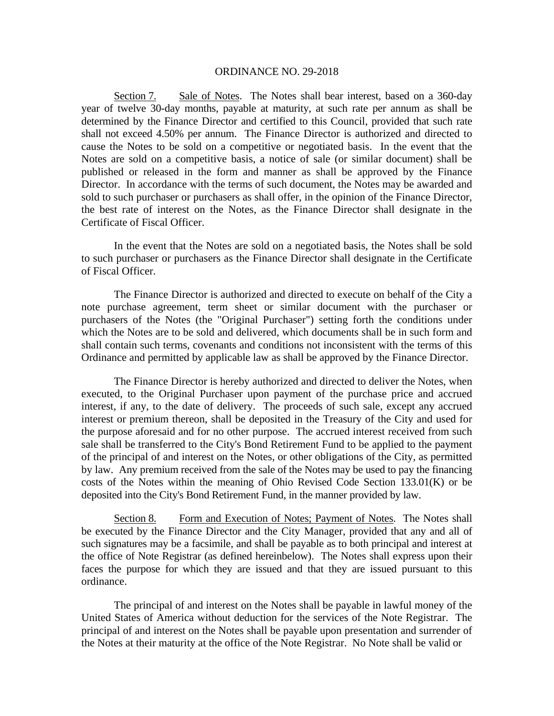Section 7. Sale of Notes. The Notes shall bear interest, based on a 360-day year of twelve 30-day months, payable at maturity, at such rate per annum as shall be determined by the Finance Director and certified to this Council, provided that such rate shall not exceed 4.50% per annum. The Finance Director is authorized and directed to cause the Notes to be sold on a competitive or negotiated basis. In the event that the Notes are sold on a competitive basis, a notice of sale (or similar document) shall be published or released in the form and manner as shall be approved by the Finance Director. In accordance with the terms of such document, the Notes may be awarded and sold to such purchaser or purchasers as shall offer, in the opinion of the Finance Director, the best rate of interest on the Notes, as the Finance Director shall designate in the Certificate of Fiscal Officer.

In the event that the Notes are sold on a negotiated basis, the Notes shall be sold to such purchaser or purchasers as the Finance Director shall designate in the Certificate of Fiscal Officer.

The Finance Director is authorized and directed to execute on behalf of the City a note purchase agreement, term sheet or similar document with the purchaser or purchasers of the Notes (the "Original Purchaser") setting forth the conditions under which the Notes are to be sold and delivered, which documents shall be in such form and shall contain such terms, covenants and conditions not inconsistent with the terms of this Ordinance and permitted by applicable law as shall be approved by the Finance Director.

The Finance Director is hereby authorized and directed to deliver the Notes, when executed, to the Original Purchaser upon payment of the purchase price and accrued interest, if any, to the date of delivery. The proceeds of such sale, except any accrued interest or premium thereon, shall be deposited in the Treasury of the City and used for the purpose aforesaid and for no other purpose. The accrued interest received from such sale shall be transferred to the City's Bond Retirement Fund to be applied to the payment of the principal of and interest on the Notes, or other obligations of the City, as permitted by law. Any premium received from the sale of the Notes may be used to pay the financing costs of the Notes within the meaning of Ohio Revised Code Section 133.01(K) or be deposited into the City's Bond Retirement Fund, in the manner provided by law.

Section 8. Form and Execution of Notes; Payment of Notes. The Notes shall be executed by the Finance Director and the City Manager, provided that any and all of such signatures may be a facsimile, and shall be payable as to both principal and interest at the office of Note Registrar (as defined hereinbelow). The Notes shall express upon their faces the purpose for which they are issued and that they are issued pursuant to this ordinance.

 The principal of and interest on the Notes shall be payable in lawful money of the United States of America without deduction for the services of the Note Registrar. The principal of and interest on the Notes shall be payable upon presentation and surrender of the Notes at their maturity at the office of the Note Registrar. No Note shall be valid or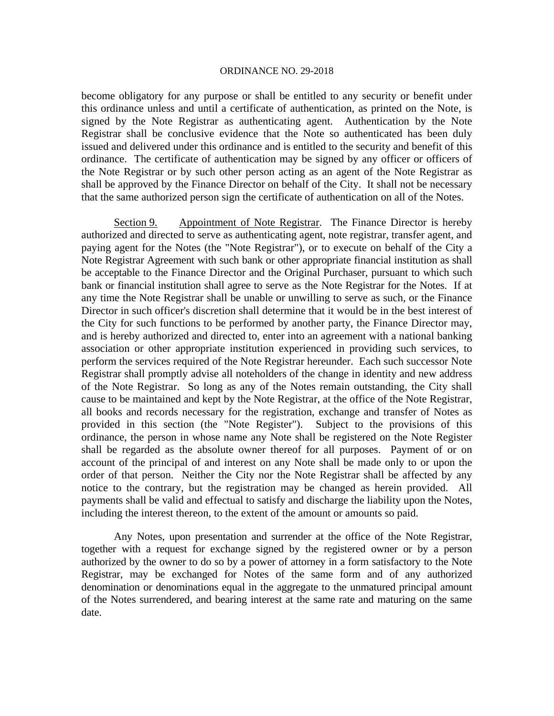become obligatory for any purpose or shall be entitled to any security or benefit under this ordinance unless and until a certificate of authentication, as printed on the Note, is signed by the Note Registrar as authenticating agent. Authentication by the Note Registrar shall be conclusive evidence that the Note so authenticated has been duly issued and delivered under this ordinance and is entitled to the security and benefit of this ordinance. The certificate of authentication may be signed by any officer or officers of the Note Registrar or by such other person acting as an agent of the Note Registrar as shall be approved by the Finance Director on behalf of the City. It shall not be necessary that the same authorized person sign the certificate of authentication on all of the Notes.

Section 9. Appointment of Note Registrar. The Finance Director is hereby authorized and directed to serve as authenticating agent, note registrar, transfer agent, and paying agent for the Notes (the "Note Registrar"), or to execute on behalf of the City a Note Registrar Agreement with such bank or other appropriate financial institution as shall be acceptable to the Finance Director and the Original Purchaser, pursuant to which such bank or financial institution shall agree to serve as the Note Registrar for the Notes. If at any time the Note Registrar shall be unable or unwilling to serve as such, or the Finance Director in such officer's discretion shall determine that it would be in the best interest of the City for such functions to be performed by another party, the Finance Director may, and is hereby authorized and directed to, enter into an agreement with a national banking association or other appropriate institution experienced in providing such services, to perform the services required of the Note Registrar hereunder. Each such successor Note Registrar shall promptly advise all noteholders of the change in identity and new address of the Note Registrar. So long as any of the Notes remain outstanding, the City shall cause to be maintained and kept by the Note Registrar, at the office of the Note Registrar, all books and records necessary for the registration, exchange and transfer of Notes as provided in this section (the "Note Register"). Subject to the provisions of this ordinance, the person in whose name any Note shall be registered on the Note Register shall be regarded as the absolute owner thereof for all purposes. Payment of or on account of the principal of and interest on any Note shall be made only to or upon the order of that person. Neither the City nor the Note Registrar shall be affected by any notice to the contrary, but the registration may be changed as herein provided. All payments shall be valid and effectual to satisfy and discharge the liability upon the Notes, including the interest thereon, to the extent of the amount or amounts so paid.

Any Notes, upon presentation and surrender at the office of the Note Registrar, together with a request for exchange signed by the registered owner or by a person authorized by the owner to do so by a power of attorney in a form satisfactory to the Note Registrar, may be exchanged for Notes of the same form and of any authorized denomination or denominations equal in the aggregate to the unmatured principal amount of the Notes surrendered, and bearing interest at the same rate and maturing on the same date.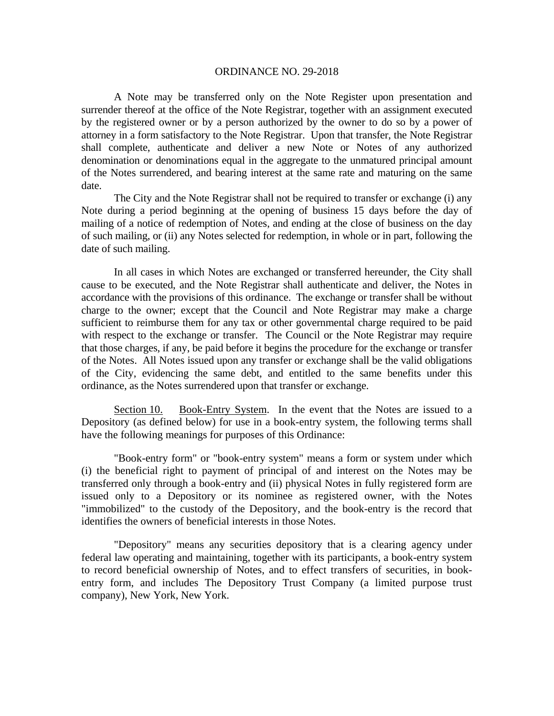A Note may be transferred only on the Note Register upon presentation and surrender thereof at the office of the Note Registrar, together with an assignment executed by the registered owner or by a person authorized by the owner to do so by a power of attorney in a form satisfactory to the Note Registrar. Upon that transfer, the Note Registrar shall complete, authenticate and deliver a new Note or Notes of any authorized denomination or denominations equal in the aggregate to the unmatured principal amount of the Notes surrendered, and bearing interest at the same rate and maturing on the same date.

The City and the Note Registrar shall not be required to transfer or exchange (i) any Note during a period beginning at the opening of business 15 days before the day of mailing of a notice of redemption of Notes, and ending at the close of business on the day of such mailing, or (ii) any Notes selected for redemption, in whole or in part, following the date of such mailing.

In all cases in which Notes are exchanged or transferred hereunder, the City shall cause to be executed, and the Note Registrar shall authenticate and deliver, the Notes in accordance with the provisions of this ordinance. The exchange or transfer shall be without charge to the owner; except that the Council and Note Registrar may make a charge sufficient to reimburse them for any tax or other governmental charge required to be paid with respect to the exchange or transfer. The Council or the Note Registrar may require that those charges, if any, be paid before it begins the procedure for the exchange or transfer of the Notes. All Notes issued upon any transfer or exchange shall be the valid obligations of the City, evidencing the same debt, and entitled to the same benefits under this ordinance, as the Notes surrendered upon that transfer or exchange.

Section 10. Book-Entry System. In the event that the Notes are issued to a Depository (as defined below) for use in a book-entry system, the following terms shall have the following meanings for purposes of this Ordinance:

"Book-entry form" or "book-entry system" means a form or system under which (i) the beneficial right to payment of principal of and interest on the Notes may be transferred only through a book-entry and (ii) physical Notes in fully registered form are issued only to a Depository or its nominee as registered owner, with the Notes "immobilized" to the custody of the Depository, and the book-entry is the record that identifies the owners of beneficial interests in those Notes.

"Depository" means any securities depository that is a clearing agency under federal law operating and maintaining, together with its participants, a book-entry system to record beneficial ownership of Notes, and to effect transfers of securities, in bookentry form, and includes The Depository Trust Company (a limited purpose trust company), New York, New York.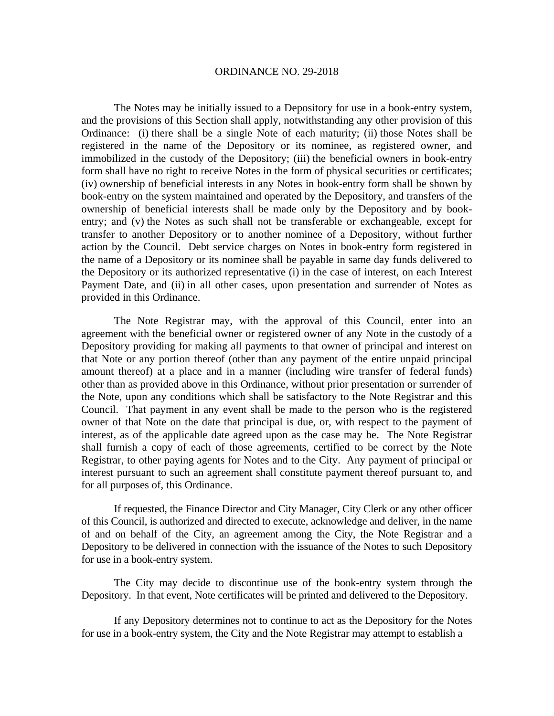The Notes may be initially issued to a Depository for use in a book-entry system, and the provisions of this Section shall apply, notwithstanding any other provision of this Ordinance: (i) there shall be a single Note of each maturity; (ii) those Notes shall be registered in the name of the Depository or its nominee, as registered owner, and immobilized in the custody of the Depository; (iii) the beneficial owners in book-entry form shall have no right to receive Notes in the form of physical securities or certificates; (iv) ownership of beneficial interests in any Notes in book-entry form shall be shown by book-entry on the system maintained and operated by the Depository, and transfers of the ownership of beneficial interests shall be made only by the Depository and by bookentry; and (v) the Notes as such shall not be transferable or exchangeable, except for transfer to another Depository or to another nominee of a Depository, without further action by the Council. Debt service charges on Notes in book-entry form registered in the name of a Depository or its nominee shall be payable in same day funds delivered to the Depository or its authorized representative (i) in the case of interest, on each Interest Payment Date, and (ii) in all other cases, upon presentation and surrender of Notes as provided in this Ordinance.

The Note Registrar may, with the approval of this Council, enter into an agreement with the beneficial owner or registered owner of any Note in the custody of a Depository providing for making all payments to that owner of principal and interest on that Note or any portion thereof (other than any payment of the entire unpaid principal amount thereof) at a place and in a manner (including wire transfer of federal funds) other than as provided above in this Ordinance, without prior presentation or surrender of the Note, upon any conditions which shall be satisfactory to the Note Registrar and this Council. That payment in any event shall be made to the person who is the registered owner of that Note on the date that principal is due, or, with respect to the payment of interest, as of the applicable date agreed upon as the case may be. The Note Registrar shall furnish a copy of each of those agreements, certified to be correct by the Note Registrar, to other paying agents for Notes and to the City. Any payment of principal or interest pursuant to such an agreement shall constitute payment thereof pursuant to, and for all purposes of, this Ordinance.

If requested, the Finance Director and City Manager, City Clerk or any other officer of this Council, is authorized and directed to execute, acknowledge and deliver, in the name of and on behalf of the City, an agreement among the City, the Note Registrar and a Depository to be delivered in connection with the issuance of the Notes to such Depository for use in a book-entry system.

 The City may decide to discontinue use of the book-entry system through the Depository. In that event, Note certificates will be printed and delivered to the Depository.

If any Depository determines not to continue to act as the Depository for the Notes for use in a book-entry system, the City and the Note Registrar may attempt to establish a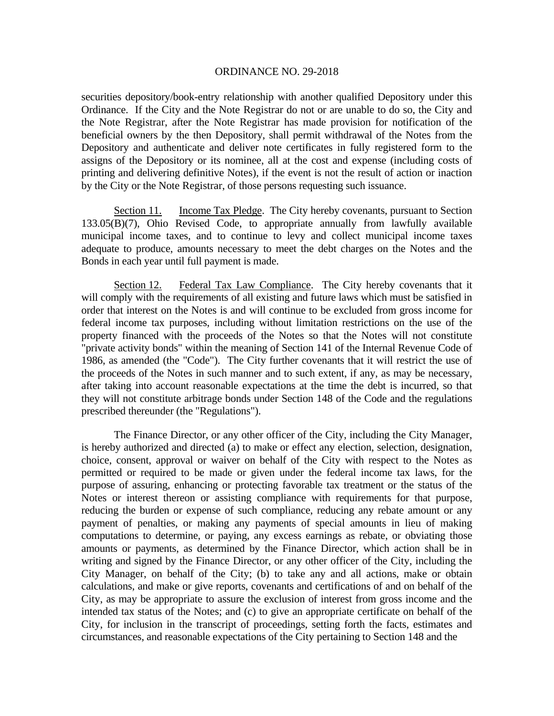securities depository/book-entry relationship with another qualified Depository under this Ordinance. If the City and the Note Registrar do not or are unable to do so, the City and the Note Registrar, after the Note Registrar has made provision for notification of the beneficial owners by the then Depository, shall permit withdrawal of the Notes from the Depository and authenticate and deliver note certificates in fully registered form to the assigns of the Depository or its nominee, all at the cost and expense (including costs of printing and delivering definitive Notes), if the event is not the result of action or inaction by the City or the Note Registrar, of those persons requesting such issuance.

Section 11. Income Tax Pledge. The City hereby covenants, pursuant to Section 133.05(B)(7), Ohio Revised Code, to appropriate annually from lawfully available municipal income taxes, and to continue to levy and collect municipal income taxes adequate to produce, amounts necessary to meet the debt charges on the Notes and the Bonds in each year until full payment is made.

Section 12. Federal Tax Law Compliance. The City hereby covenants that it will comply with the requirements of all existing and future laws which must be satisfied in order that interest on the Notes is and will continue to be excluded from gross income for federal income tax purposes, including without limitation restrictions on the use of the property financed with the proceeds of the Notes so that the Notes will not constitute "private activity bonds" within the meaning of Section 141 of the Internal Revenue Code of 1986, as amended (the "Code"). The City further covenants that it will restrict the use of the proceeds of the Notes in such manner and to such extent, if any, as may be necessary, after taking into account reasonable expectations at the time the debt is incurred, so that they will not constitute arbitrage bonds under Section 148 of the Code and the regulations prescribed thereunder (the "Regulations").

 The Finance Director, or any other officer of the City, including the City Manager, is hereby authorized and directed (a) to make or effect any election, selection, designation, choice, consent, approval or waiver on behalf of the City with respect to the Notes as permitted or required to be made or given under the federal income tax laws, for the purpose of assuring, enhancing or protecting favorable tax treatment or the status of the Notes or interest thereon or assisting compliance with requirements for that purpose, reducing the burden or expense of such compliance, reducing any rebate amount or any payment of penalties, or making any payments of special amounts in lieu of making computations to determine, or paying, any excess earnings as rebate, or obviating those amounts or payments, as determined by the Finance Director, which action shall be in writing and signed by the Finance Director, or any other officer of the City, including the City Manager, on behalf of the City; (b) to take any and all actions, make or obtain calculations, and make or give reports, covenants and certifications of and on behalf of the City, as may be appropriate to assure the exclusion of interest from gross income and the intended tax status of the Notes; and (c) to give an appropriate certificate on behalf of the City, for inclusion in the transcript of proceedings, setting forth the facts, estimates and circumstances, and reasonable expectations of the City pertaining to Section 148 and the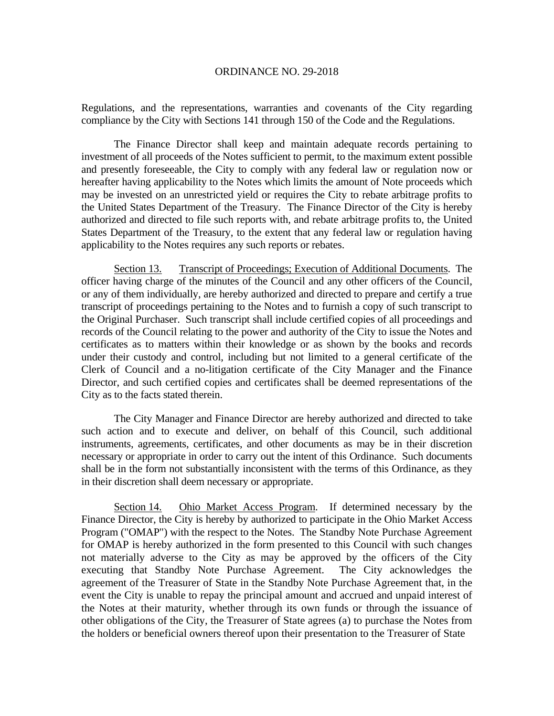Regulations, and the representations, warranties and covenants of the City regarding compliance by the City with Sections 141 through 150 of the Code and the Regulations.

 The Finance Director shall keep and maintain adequate records pertaining to investment of all proceeds of the Notes sufficient to permit, to the maximum extent possible and presently foreseeable, the City to comply with any federal law or regulation now or hereafter having applicability to the Notes which limits the amount of Note proceeds which may be invested on an unrestricted yield or requires the City to rebate arbitrage profits to the United States Department of the Treasury. The Finance Director of the City is hereby authorized and directed to file such reports with, and rebate arbitrage profits to, the United States Department of the Treasury, to the extent that any federal law or regulation having applicability to the Notes requires any such reports or rebates.

Section 13. Transcript of Proceedings; Execution of Additional Documents. The officer having charge of the minutes of the Council and any other officers of the Council, or any of them individually, are hereby authorized and directed to prepare and certify a true transcript of proceedings pertaining to the Notes and to furnish a copy of such transcript to the Original Purchaser. Such transcript shall include certified copies of all proceedings and records of the Council relating to the power and authority of the City to issue the Notes and certificates as to matters within their knowledge or as shown by the books and records under their custody and control, including but not limited to a general certificate of the Clerk of Council and a no-litigation certificate of the City Manager and the Finance Director, and such certified copies and certificates shall be deemed representations of the City as to the facts stated therein.

The City Manager and Finance Director are hereby authorized and directed to take such action and to execute and deliver, on behalf of this Council, such additional instruments, agreements, certificates, and other documents as may be in their discretion necessary or appropriate in order to carry out the intent of this Ordinance. Such documents shall be in the form not substantially inconsistent with the terms of this Ordinance, as they in their discretion shall deem necessary or appropriate.

Section 14. Ohio Market Access Program. If determined necessary by the Finance Director, the City is hereby by authorized to participate in the Ohio Market Access Program ("OMAP") with the respect to the Notes. The Standby Note Purchase Agreement for OMAP is hereby authorized in the form presented to this Council with such changes not materially adverse to the City as may be approved by the officers of the City executing that Standby Note Purchase Agreement. The City acknowledges the agreement of the Treasurer of State in the Standby Note Purchase Agreement that, in the event the City is unable to repay the principal amount and accrued and unpaid interest of the Notes at their maturity, whether through its own funds or through the issuance of other obligations of the City, the Treasurer of State agrees (a) to purchase the Notes from the holders or beneficial owners thereof upon their presentation to the Treasurer of State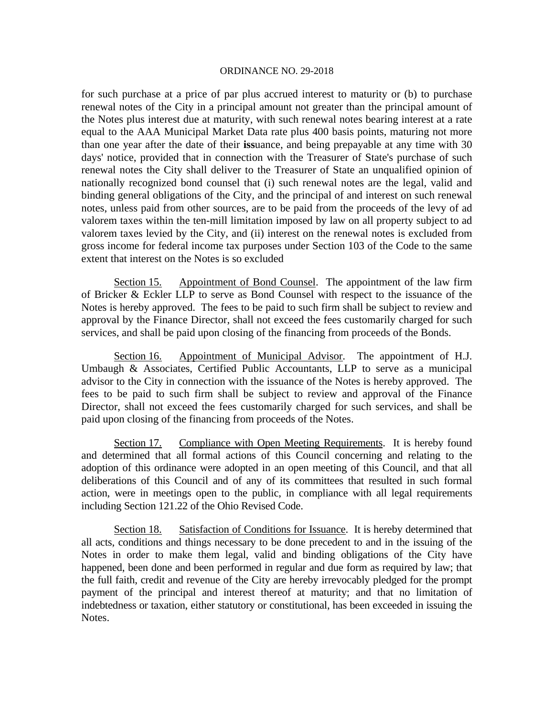for such purchase at a price of par plus accrued interest to maturity or (b) to purchase renewal notes of the City in a principal amount not greater than the principal amount of the Notes plus interest due at maturity, with such renewal notes bearing interest at a rate equal to the AAA Municipal Market Data rate plus 400 basis points, maturing not more than one year after the date of their **iss**uance, and being prepayable at any time with 30 days' notice, provided that in connection with the Treasurer of State's purchase of such renewal notes the City shall deliver to the Treasurer of State an unqualified opinion of nationally recognized bond counsel that (i) such renewal notes are the legal, valid and binding general obligations of the City, and the principal of and interest on such renewal notes, unless paid from other sources, are to be paid from the proceeds of the levy of ad valorem taxes within the ten-mill limitation imposed by law on all property subject to ad valorem taxes levied by the City, and (ii) interest on the renewal notes is excluded from gross income for federal income tax purposes under Section 103 of the Code to the same extent that interest on the Notes is so excluded

Section 15. Appointment of Bond Counsel. The appointment of the law firm of Bricker & Eckler LLP to serve as Bond Counsel with respect to the issuance of the Notes is hereby approved. The fees to be paid to such firm shall be subject to review and approval by the Finance Director, shall not exceed the fees customarily charged for such services, and shall be paid upon closing of the financing from proceeds of the Bonds.

Section 16. Appointment of Municipal Advisor. The appointment of H.J. Umbaugh & Associates, Certified Public Accountants, LLP to serve as a municipal advisor to the City in connection with the issuance of the Notes is hereby approved. The fees to be paid to such firm shall be subject to review and approval of the Finance Director, shall not exceed the fees customarily charged for such services, and shall be paid upon closing of the financing from proceeds of the Notes.

Section 17. Compliance with Open Meeting Requirements. It is hereby found and determined that all formal actions of this Council concerning and relating to the adoption of this ordinance were adopted in an open meeting of this Council, and that all deliberations of this Council and of any of its committees that resulted in such formal action, were in meetings open to the public, in compliance with all legal requirements including Section 121.22 of the Ohio Revised Code.

Section 18. Satisfaction of Conditions for Issuance. It is hereby determined that all acts, conditions and things necessary to be done precedent to and in the issuing of the Notes in order to make them legal, valid and binding obligations of the City have happened, been done and been performed in regular and due form as required by law; that the full faith, credit and revenue of the City are hereby irrevocably pledged for the prompt payment of the principal and interest thereof at maturity; and that no limitation of indebtedness or taxation, either statutory or constitutional, has been exceeded in issuing the Notes.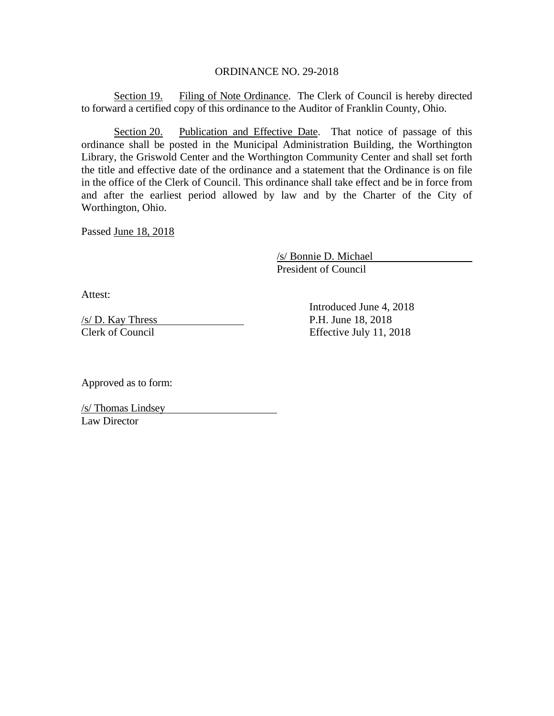Section 19. Filing of Note Ordinance. The Clerk of Council is hereby directed to forward a certified copy of this ordinance to the Auditor of Franklin County, Ohio.

Section 20. Publication and Effective Date. That notice of passage of this ordinance shall be posted in the Municipal Administration Building, the Worthington Library, the Griswold Center and the Worthington Community Center and shall set forth the title and effective date of the ordinance and a statement that the Ordinance is on file in the office of the Clerk of Council. This ordinance shall take effect and be in force from and after the earliest period allowed by law and by the Charter of the City of Worthington, Ohio.

Passed June 18, 2018

 /s/ Bonnie D. Michael President of Council

Attest:

 $/$ s/ D. Kay Thress P.H. June 18, 2018 Clerk of Council Effective July 11, 2018

Introduced June 4, 2018

Approved as to form:

/s/ Thomas Lindsey Law Director